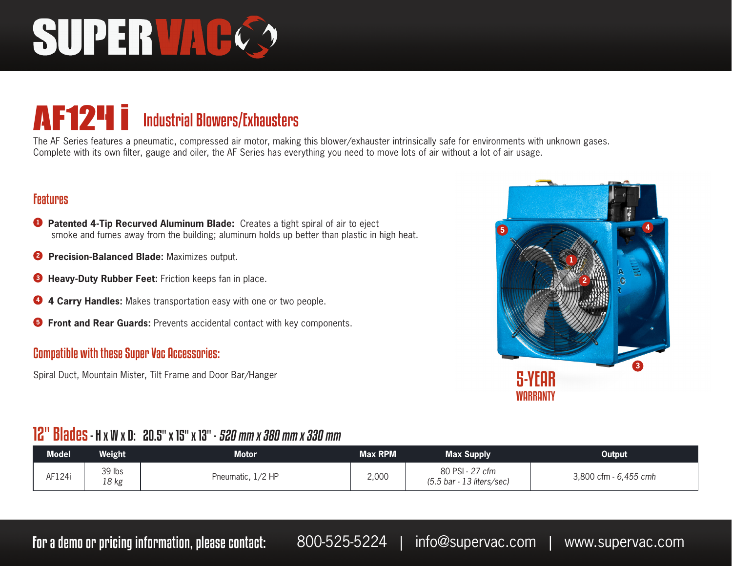# SUPER VAC

### AF124 i Industrial Blowers/Exhausters

The AF Series features a pneumatic, compressed air motor, making this blower/exhauster intrinsically safe for environments with unknown gases. Complete with its own filter, gauge and oiler, the AF Series has everything you need to move lots of air without a lot of air usage.

#### Features

- **<sup>1</sup> Patented 4-Tip Recurved Aluminum Blade:** Creates a tight spiral of air to eject smoke and fumes away from the building; aluminum holds up better than plastic in high heat.
- **2 Precision-Balanced Blade:** Maximizes output.
- **<sup>3</sup> Heavy-Duty Rubber Feet:** Friction keeps fan in place.
- **<sup>4</sup> 4 Carry Handles:** Makes transportation easy with one or two people.
- **<sup>5</sup> Front and Rear Guards:** Prevents accidental contact with key components.

#### Compatible with these Super Vac Accessories:

Spiral Duct, Mountain Mister, Tilt Frame and Door Bar/Hanger



#### 12" Blades - H x W x D: 20.5" x 15" x 13" - 520 mm x 380 mm x 330 mm

| <b>Model</b> | Weight          | Motor.            | <b>Max RPM</b> | <b>Max Supply</b>                                              | <b>Output</b>         |
|--------------|-----------------|-------------------|----------------|----------------------------------------------------------------|-----------------------|
| AF124i       | 39 lbs<br>18 kg | Pneumatic, 1/2 HP | 2,000          | 80 PSI - 27 cfm<br>$(5.5 \text{ bar} - 13 \text{ liters/sec})$ | 3,800 cfm - 6,455 cmh |

For a demo or pricing information, please contact: 800-525-5224 | info@supervac.com | www.supervac.com